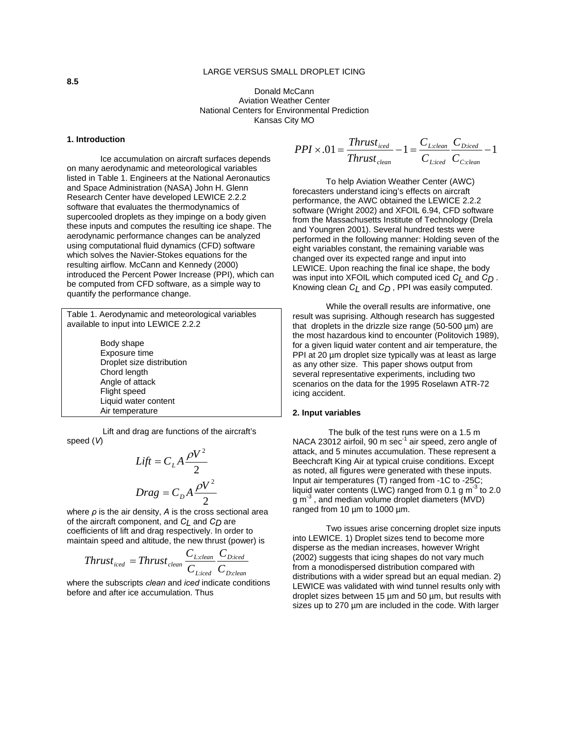# LARGE VERSUS SMALL DROPLET ICING

Donald McCann Aviation Weather Center National Centers for Environmental Prediction Kansas City MO

#### **1. Introduction**

Ice accumulation on aircraft surfaces depends on many aerodynamic and meteorological variables listed in Table 1. Engineers at the National Aeronautics and Space Administration (NASA) John H. Glenn Research Center have developed LEWICE 2.2.2 software that evaluates the thermodynamics of supercooled droplets as they impinge on a body given these inputs and computes the resulting ice shape. The aerodynamic performance changes can be analyzed using computational fluid dynamics (CFD) software which solves the Navier-Stokes equations for the resulting airflow. McCann and Kennedy (2000) introduced the Percent Power Increase (PPI), which can be computed from CFD software, as a simple way to quantify the performance change.

Table 1. Aerodynamic and meteorological variables available to input into LEWICE 2.2.2 Body shape Exposure time Droplet size distribution Chord length Angle of attack

Air temperature Lift and drag are functions of the aircraft's speed (*V*)

Flight speed Liquid water content

$$
Lift = CLA \frac{\rho V^2}{2}
$$

$$
Drag = CDA \frac{\rho V^2}{2}
$$

where *ρ* is the air density, *A* is the cross sectional area of the aircraft component, and *CL* and *CD* are coefficients of lift and drag respectively. In order to maintain speed and altitude, the new thrust (power) is

$$
Thrust_{\text{iced}} = Thrust_{\text{clean}} \frac{C_{\text{L:clean}}}{C_{\text{L:iced}}} \frac{C_{\text{D:iced}}}{C_{\text{D:clean}}}
$$

where the subscripts *clean* and *iced* indicate conditions before and after ice accumulation. Thus

$$
PPI \times .01 = \frac{Thrust_{\text{iced}}}{Thrust_{\text{clean}}} - 1 = \frac{C_{\text{Lclean}}}{C_{\text{Liced}}} \frac{C_{\text{Diced}}}{C_{\text{Cclean}}} - 1
$$

To help Aviation Weather Center (AWC) forecasters understand icing's effects on aircraft performance, the AWC obtained the LEWICE 2.2.2 software (Wright 2002) and XFOIL 6.94, CFD software from the Massachusetts Institute of Technology (Drela and Youngren 2001). Several hundred tests were performed in the following manner: Holding seven of the eight variables constant, the remaining variable was changed over its expected range and input into LEWICE. Upon reaching the final ice shape, the body was input into XFOIL which computed iced *CL* and *CD* . Knowing clean  $C_L$  and  $C_D$ , PPI was easily computed.

While the overall results are informative, one result was suprising. Although research has suggested that droplets in the drizzle size range (50-500 µm) are the most hazardous kind to encounter (Politovich 1989), for a given liquid water content and air temperature, the PPI at 20  $\mu$ m droplet size typically was at least as large as any other size. This paper shows output from several representative experiments, including two scenarios on the data for the 1995 Roselawn ATR-72 icing accident.

### **2. Input variables**

 The bulk of the test runs were on a 1.5 m NACA 23012 airfoil, 90 m sec<sup>-1</sup> air speed, zero angle of attack, and 5 minutes accumulation. These represent a Beechcraft King Air at typical cruise conditions. Except as noted, all figures were generated with these inputs. Input air temperatures (T) ranged from -1C to -25C; liquid water contents (LWC) ranged from 0.1 g  $m<sup>-3</sup>$  to 2.0  $g m<sup>-3</sup>$ , and median volume droplet diameters (MVD) ranged from 10 µm to 1000 µm.

Two issues arise concerning droplet size inputs into LEWICE. 1) Droplet sizes tend to become more disperse as the median increases, however Wright (2002) suggests that icing shapes do not vary much from a monodispersed distribution compared with distributions with a wider spread but an equal median. 2) LEWICE was validated with wind tunnel results only with droplet sizes between 15 µm and 50 µm, but results with sizes up to 270 µm are included in the code. With larger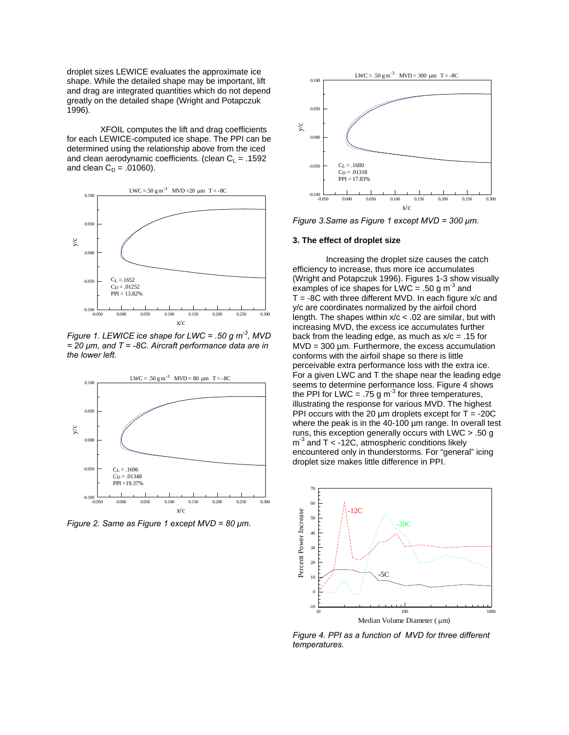droplet sizes LEWICE evaluates the approximate ice shape. While the detailed shape may be important, lift and drag are integrated quantities which do not depend greatly on the detailed shape (Wright and Potapczuk 1996).

XFOIL computes the lift and drag coefficients for each LEWICE-computed ice shape. The PPI can be determined using the relationship above from the iced and clean aerodynamic coefficients. (clean  $C_L = .1592$ and clean  $C_D = .01060$ ).



*Figure 1. LEWICE ice shape for LWC = .50 g m-3, MVD = 20 µm, and T = -8C. Aircraft performance data are in the lower left.* 



*Figure 2. Same as Figure 1 except MVD = 80 µm.* 



*Figure 3.Same as Figure 1 except MVD = 300 µm.* 

#### **3. The effect of droplet size**

Increasing the droplet size causes the catch efficiency to increase, thus more ice accumulates (Wright and Potapczuk 1996). Figures 1-3 show visually examples of ice shapes for LWC = .50 g  $m<sup>3</sup>$  and  $T = -8C$  with three different MVD. In each figure  $x/c$  and y/c are coordinates normalized by the airfoil chord length. The shapes within  $x/c < .02$  are similar, but with increasing MVD, the excess ice accumulates further back from the leading edge, as much as  $x/c = .15$  for  $MVD = 300 \mu m$ . Furthermore, the excess accumulation conforms with the airfoil shape so there is little perceivable extra performance loss with the extra ice. For a given LWC and T the shape near the leading edge seems to determine performance loss. Figure 4 shows the PPI for LWC = .75 g  $m<sup>-3</sup>$  for three temperatures, illustrating the response for various MVD. The highest PPI occurs with the 20  $\mu$ m droplets except for T = -20C where the peak is in the 40-100 µm range. In overall test runs, this exception generally occurs with LWC > .50 g  $m<sup>3</sup>$  and T < -12C, atmospheric conditions likely encountered only in thunderstorms. For "general" icing droplet size makes little difference in PPI.



*Figure 4. PPI as a function of MVD for three different temperatures.*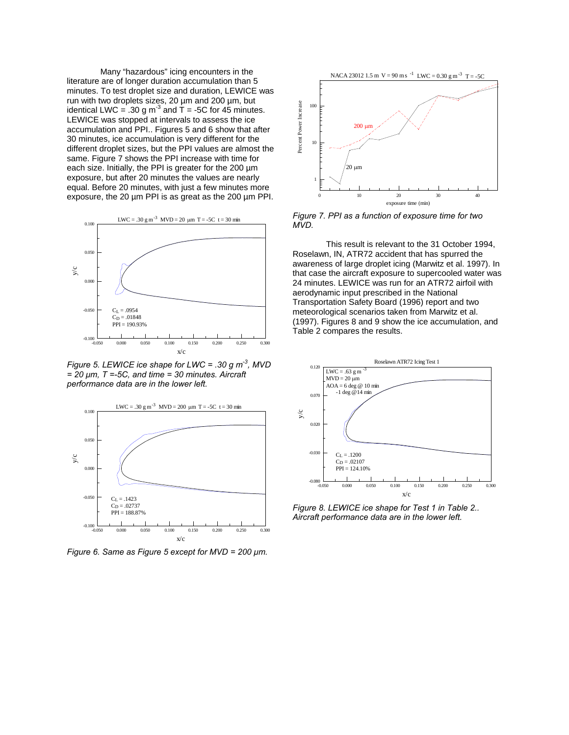Many "hazardous" icing encounters in the literature are of longer duration accumulation than 5 minutes. To test droplet size and duration, LEWICE was run with two droplets sizes, 20 µm and 200 µm, but identical LWC = .30 g  $m<sup>3</sup>$  and T = -5C for 45 minutes. LEWICE was stopped at intervals to assess the ice accumulation and PPI.. Figures 5 and 6 show that after 30 minutes, ice accumulation is very different for the different droplet sizes, but the PPI values are almost the same. Figure 7 shows the PPI increase with time for each size. Initially, the PPI is greater for the 200  $\mu$ m exposure, but after 20 minutes the values are nearly equal. Before 20 minutes, with just a few minutes more exposure, the 20 µm PPI is as great as the 200 µm PPI.



*Figure 5. LEWICE ice shape for LWC = .30 g m-3, MVD = 20 µm, T =-5C, and time = 30 minutes. Aircraft performance data are in the lower left.* 



*Figure 6. Same as Figure 5 except for MVD = 200 µm.* 



*Figure 7. PPI as a function of exposure time for two MVD.* 

This result is relevant to the 31 October 1994, Roselawn, IN, ATR72 accident that has spurred the awareness of large droplet icing (Marwitz et al. 1997). In that case the aircraft exposure to supercooled water was 24 minutes. LEWICE was run for an ATR72 airfoil with aerodynamic input prescribed in the National Transportation Safety Board (1996) report and two meteorological scenarios taken from Marwitz et al. (1997). Figures 8 and 9 show the ice accumulation, and Table 2 compares the results.



*Figure 8. LEWICE ice shape for Test 1 in Table 2.. Aircraft performance data are in the lower left.*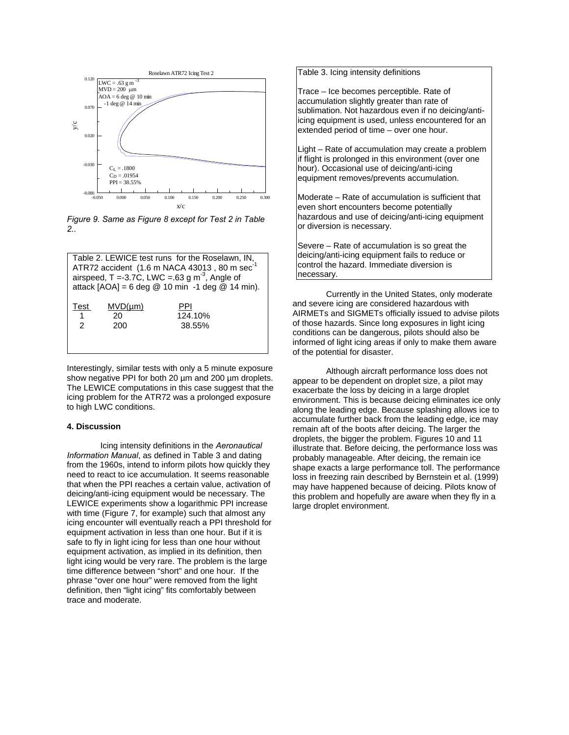

*Figure 9. Same as Figure 8 except for Test 2 in Table 2..* 

| Table 2. LEWICE test runs for the Roselawn, IN,<br>ATR72 accident (1.6 m NACA 43013, 80 m sec <sup>-1</sup><br>airspeed, T = -3.7C, LWC = $.63$ g m <sup>-3</sup> , Angle of<br>attack $[AOA] = 6$ deg @ 10 min -1 deg @ 14 min). |                           |                          |
|-----------------------------------------------------------------------------------------------------------------------------------------------------------------------------------------------------------------------------------|---------------------------|--------------------------|
| Test<br>$\overline{1}$<br>$\mathcal{P}$                                                                                                                                                                                           | $MVD(\mu m)$<br>20<br>200 | PPI<br>124.10%<br>38.55% |

Interestingly, similar tests with only a 5 minute exposure show negative PPI for both 20 um and 200 um droplets. The LEWICE computations in this case suggest that the icing problem for the ATR72 was a prolonged exposure to high LWC conditions.

# **4. Discussion**

 Icing intensity definitions in the *Aeronautical Information Manual*, as defined in Table 3 and dating from the 1960s, intend to inform pilots how quickly they need to react to ice accumulation. It seems reasonable that when the PPI reaches a certain value, activation of deicing/anti-icing equipment would be necessary. The LEWICE experiments show a logarithmic PPI increase with time (Figure 7, for example) such that almost any icing encounter will eventually reach a PPI threshold for equipment activation in less than one hour. But if it is safe to fly in light icing for less than one hour without equipment activation, as implied in its definition, then light icing would be very rare. The problem is the large time difference between "short" and one hour. If the phrase "over one hour" were removed from the light definition, then "light icing" fits comfortably between trace and moderate.

Table 3. Icing intensity definitions

Trace – Ice becomes perceptible. Rate of accumulation slightly greater than rate of sublimation. Not hazardous even if no deicing/antilicing equipment is used, unless encountered for an extended period of time – over one hour.

Light – Rate of accumulation may create a problem if flight is prolonged in this environment (over one hour). Occasional use of deicing/anti-icing equipment removes/prevents accumulation.

Moderate – Rate of accumulation is sufficient that even short encounters become potentially hazardous and use of deicing/anti-icing equipment or diversion is necessary.

Severe – Rate of accumulation is so great the deicing/anti-icing equipment fails to reduce or control the hazard. Immediate diversion is necessary.

Currently in the United States, only moderate and severe icing are considered hazardous with AIRMETs and SIGMETs officially issued to advise pilots of those hazards. Since long exposures in light icing conditions can be dangerous, pilots should also be informed of light icing areas if only to make them aware of the potential for disaster.

 Although aircraft performance loss does not appear to be dependent on droplet size, a pilot may exacerbate the loss by deicing in a large droplet environment. This is because deicing eliminates ice only along the leading edge. Because splashing allows ice to accumulate further back from the leading edge, ice may remain aft of the boots after deicing. The larger the droplets, the bigger the problem. Figures 10 and 11 illustrate that. Before deicing, the performance loss was probably manageable. After deicing, the remain ice shape exacts a large performance toll. The performance loss in freezing rain described by Bernstein et al. (1999) may have happened because of deicing. Pilots know of this problem and hopefully are aware when they fly in a large droplet environment.